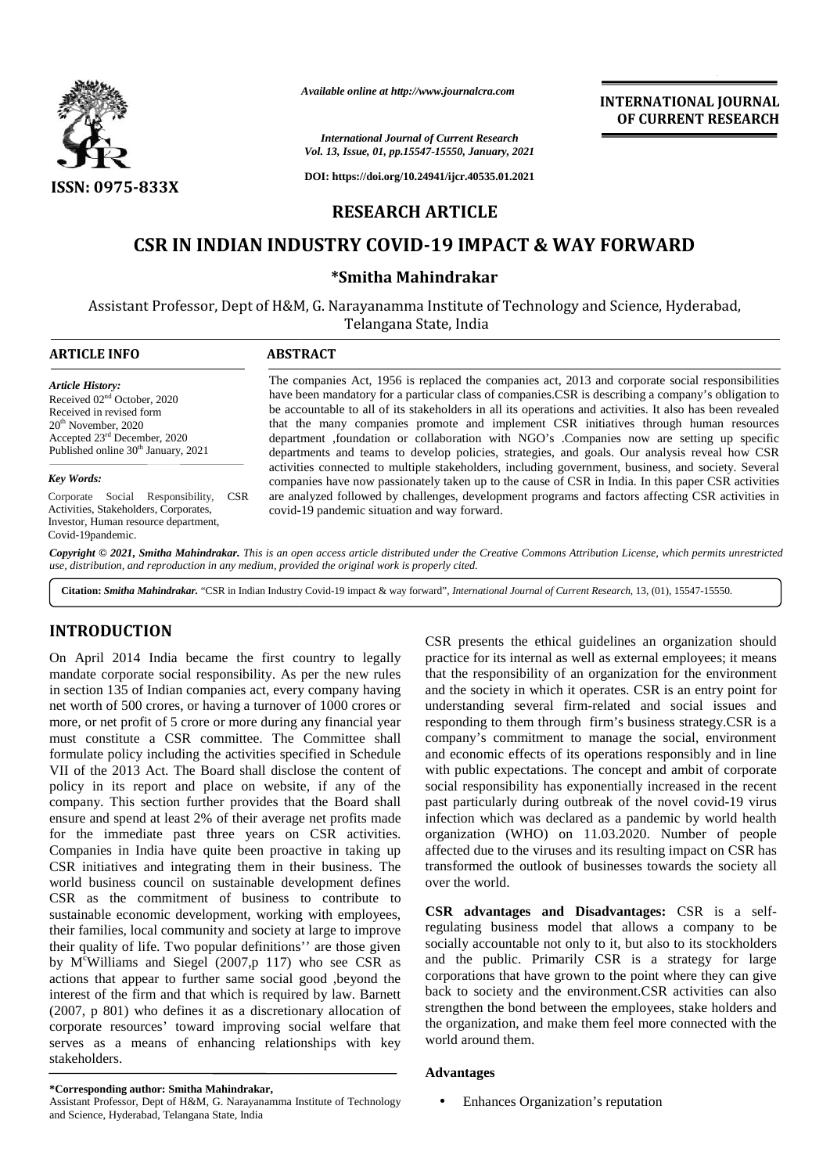

*Available online at http://www.journalcra.com*

**INTERNATIONAL JOURNAL OF CURRENT RESEARCH**

*International Journal of Current Research Vol. 13, Issue, 01, pp.15547-15550, January, 2021*

**DOI: https://doi.org/10.24941/ijcr.40535.01.2021**

## **RESEARCH ARTICLE**

# **CSR IN INDIAN INDUSTRY COVID-19 IMPACT & WAY FORWARD**

## **\*Smitha Mahindrakar \*Smitha**

Assistant Professor, Dept of H&M, G. Narayanamma Institute of Technology and Science, Hyderabad,<br>Telangana State, India Telangana State, India

#### **ARTICLE INFO ABSTRACT ARTICLE ABSTRACT**

*Article History:* Received 02nd October, 2020 Received in revised form 20th November, 2020 Accepted 23<sup>rd</sup> December, 2020 Published online 30<sup>th</sup> January, 2021

#### *Key Words:*

Corporate Social Responsibility, CSR Activities, Stakeholders, Corporates, Investor, Human resource department, Covid-19pandemic.

The companies Act, 1956 is replaced the companies act, 2013 and corporate social responsibilities The companies Act, 1956 is replaced the companies act, 2013 and corporate social responsibilities have been mandatory for a particular class of companies.CSR is describing a company's obligation to be accountable to all of its stakeholders in all its operations and activities. It also has been revealed be accountable to all of its stakeholders in all its operations and activities. It also has been revealed that the many companies promote and implement CSR initiatives through human resources department , foundation or collaboration with NGO's . Companies now are setting up specific departments and teams to develop policies, strategies, and goals. Our analysis reveal how CSR activities connected to multiple stakeholders, including government, business, and society. Several companies have now passionately taken up to the cause of CSR in India. In this paper CSR activities are analyzed followed by challenges, development programs and factors affecting CSR activities in covid-19 pandemic situation and way forward. teams to develop policies, strategies, and goals. Our analysed to multiple stakeholders, including government, business, ow passionately taken up to the cause of CSR in India. In this wed by challenges, development program Available online at http://www.journalcra.com<br>
Vol. 13, Issue, 01, pp.15547-15550, January, 2021<br>
OPT CURRENT RES<br>
CSR IN INDIAN INDUSTRY COVID-19 IMPACT & WAY FORWARD<br>
CSR IN INDIAN INDUSTRY COVID-19 IMPACT & WAY FORWARD<br>

Copyright © 2021, Smitha Mahindrakar. This is an open access article distributed under the Creative Commons Attribution License, which permits unrestricted use, distribution, and reproduction in any medium, provided the original work is properly cited.

**Citation:** *Smitha Mahindrakar.* "CSR in Indian Industry Covid-19 impact & way forward", *International Journal of Current Research*, 13, (01), 15547-15550.

## **INTRODUCTION INTRODUCTION**

On April 2014 India became the first country to legally mandate corporate social responsibility. As per the new rules in section 135 of Indian companies act, every company having net worth of 500 crores, or having a turnover of 1000 crores or more, or net profit of 5 crore or more during any financial year must constitute a CSR committee. The Committee shall formulate policy including the activities specified in Schedule VII of the 2013 Act. The Board shall disclose the content of policy in its report and place on website, if any of the company. This section further provides that the Board shall ensure and spend at least 2% of their average net profits made for the immediate past three years on CSR activities. Companies in India have quite been proactive in taking up CSR initiatives and integrating them in their business. The world business council on sustainable development defines CSR as the commitment of business to contribute to sustainable economic development, working with employees, their families, local community and society at large to improve their quality of life. Two popular definitions" are those given socially by M<sup>c</sup>Williams and Siegel (2007,p 117) who see CSR as actions that appear to further same social good ,beyond the interest of the firm and that which is required by law. Barnett (2007, p 801) who defines it as a discretionary allocation of corporate resources' toward improving social welfare that serves as a means of enhancing relationships with key worl<br>stakeholders. stakeholders. On April 2014 India became the first country to legally mandate corporate social responsibility. As per the new rules in section 135 of Indian companies act, every company having net worth of 500 crores, or having a turnov world business council on sustainable development defines<br>CSR as the commitment of business to contribute to<br>sustainable economic development, working with employees,<br>their families, local community and society at large to by M<sup>c</sup>Williams and Siegel (2007,p 117) who see CSR as actions that appear to further same social good ,beyond the interest of the firm and that which is required by law. Barnett (2007, p 801) who defines it as a discreti Comparis the third between the first country to legally practice for its intendial gouldfores an organization should<br>imaginate corporate social responsibility. As per the new rules that the responsibility of an organizati **JOURNAL PROPERTY RESEARCH**<br> **JOURNAL PROPERTY (CONTENT) EXCRETE ANALY CONTENT) TRANSPORTATIONS (THE CONTENT) CONTENT) CONTENT<br>
<b>JOURNAL PROPERTY CONTENT) CONTENT ANALY CONTENT ANALY CONTENT ANALY CONTENT ANALY CONTENT A** The sustainable is a substantial of Christopher and the substantial of the substantial of the substantial of the substantial of the substantial of the substantial of the substantial of the substantial of the substantial o

CSR presents the ethical guidelines an organization should practice for its internal as well as external employees; it means that the responsibility of an organization for the environment and the society in which it operates. CSR is an entry point for and the society in which it operates. CSR is an entry point for understanding several firm-related and social issues and responding to them through firm's business strategy.CSR is a responding to them through firm's business strategy.CSR is a company's commitment to manage the social, environment and economic effects of its operations responsibly and in line with public expectations. The concept and ambit of corporate social responsibility has exponentially increased in the recent past particularly during outbreak of the novel covid-19 virus infection which was declared as a pandemic by world health organization (WHO) on 11.03.2020. Number of people affected due to the viruses and its resulting impact on CSR has past particularly during outbreak of the novel covid-19 virus<br>infection which was declared as a pandemic by world health<br>organization (WHO) on 11.03.2020. Number of people<br>affected due to the viruses and its resulting impa over the world.

**CSR** advantages and Disadvantages: CSR is a selfregulating business model that allows a company to be socially accountable not only to it, but also to its stockholders and the public. Primarily CSR is a strategy for large corporations that have grown to the point where they can give back to society and the environment.CSR activities can also strengthen the bond between the employees, stake holders and the organization, and make them feel more connected with the world around them. regulating business model that allows a company to socially accountable not only to it, but also to its stockhold and the public. Primarily CSR is a strategy for la corporations that have grown to the point where they can

## **Advantages**

Enhances Organization's reputation

**<sup>\*</sup>Corresponding author: Smitha Mahindrakar, \*Corresponding** 

Assistant Professor, Dept of H&M, G. Narayanamma Institute of Technology and Science, Hyderabad, Telangana State, India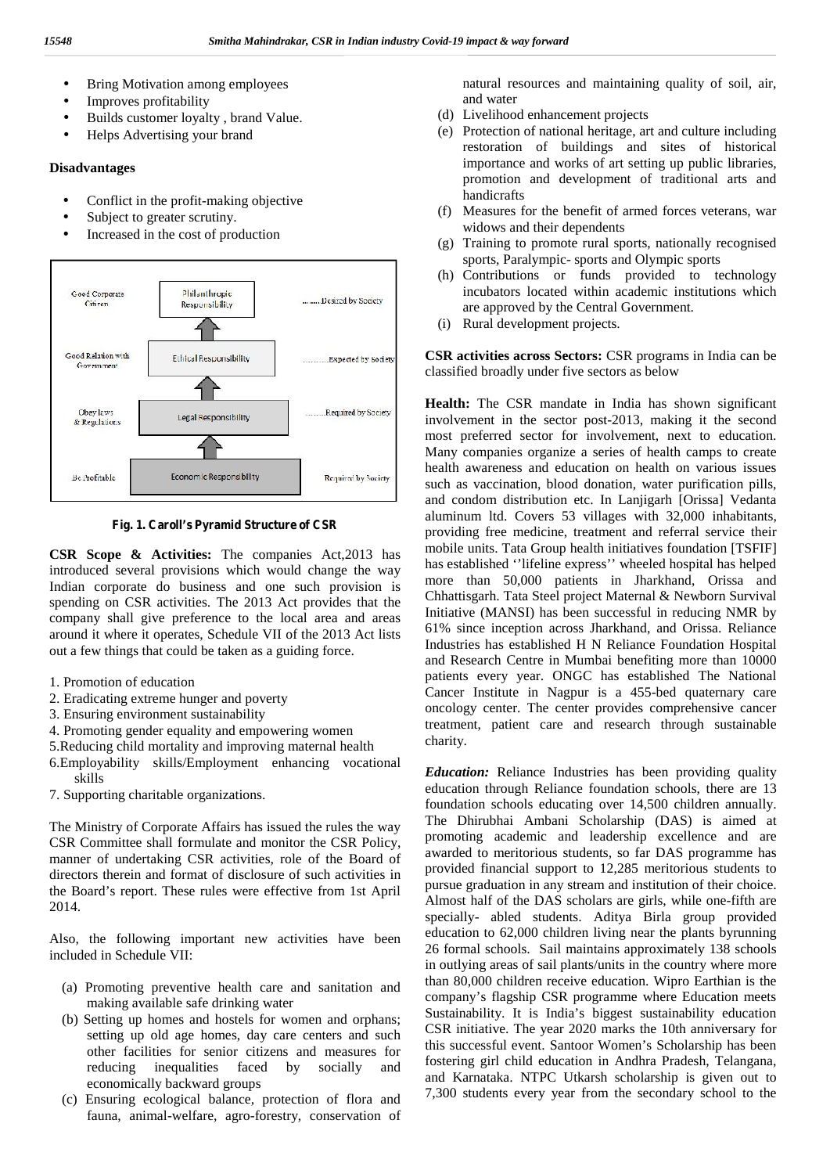- Bring Motivation among employees
- Improves profitability
- Builds customer loyalty , brand Value.
- Helps Advertising your brand

### **Disadvantages**

- Conflict in the profit-making objective
- Subject to greater scrutiny.
- Increased in the cost of production



**Fig. 1. Caroll's Pyramid Structure of CSR**

**CSR Scope & Activities:** The companies Act,2013 has introduced several provisions which would change the way Indian corporate do business and one such provision is spending on CSR activities. The 2013 Act provides that the company shall give preference to the local area and areas around it where it operates, Schedule VII of the 2013 Act lists out a few things that could be taken as a guiding force.

- 1. Promotion of education
- 2. Eradicating extreme hunger and poverty
- 3. Ensuring environment sustainability
- 4. Promoting gender equality and empowering women
- 5.Reducing child mortality and improving maternal health
- 6.Employability skills/Employment enhancing vocational skills
- 7. Supporting charitable organizations.

The Ministry of Corporate Affairs has issued the rules the way CSR Committee shall formulate and monitor the CSR Policy, manner of undertaking CSR activities, role of the Board of directors therein and format of disclosure of such activities in the Board's report. These rules were effective from 1st April 2014.

Also, the following important new activities have been included in Schedule VII:

- (a) Promoting preventive health care and sanitation and making available safe drinking water
- (b) Setting up homes and hostels for women and orphans; setting up old age homes, day care centers and such other facilities for senior citizens and measures for reducing inequalities faced by socially and economically backward groups
- (c) Ensuring ecological balance, protection of flora and fauna, animal-welfare, agro-forestry, conservation of

natural resources and maintaining quality of soil, air, and water

- (d) Livelihood enhancement projects
- (e) Protection of national heritage, art and culture including restoration of buildings and sites of historical importance and works of art setting up public libraries, promotion and development of traditional arts and handicrafts
- (f) Measures for the benefit of armed forces veterans, war widows and their dependents
- (g) Training to promote rural sports, nationally recognised sports, Paralympic- sports and Olympic sports
- (h) Contributions or funds provided to technology incubators located within academic institutions which are approved by the Central Government.
- (i) Rural development projects.

**CSR activities across Sectors:** CSR programs in India can be classified broadly under five sectors as below

**Health:** The CSR mandate in India has shown significant involvement in the sector post-2013, making it the second most preferred sector for involvement, next to education. Many companies organize a series of health camps to create health awareness and education on health on various issues such as vaccination, blood donation, water purification pills, and condom distribution etc. In Lanjigarh [Orissa] Vedanta aluminum ltd. Covers 53 villages with 32,000 inhabitants, providing free medicine, treatment and referral service their mobile units. Tata Group health initiatives foundation [TSFIF] has established ''lifeline express'' wheeled hospital has helped more than 50,000 patients in Jharkhand, Orissa and Chhattisgarh. Tata Steel project Maternal & Newborn Survival Initiative (MANSI) has been successful in reducing NMR by 61% since inception across Jharkhand, and Orissa. Reliance Industries has established H N Reliance Foundation Hospital and Research Centre in Mumbai benefiting more than 10000 patients every year. ONGC has established The National Cancer Institute in Nagpur is a 455-bed quaternary care oncology center. The center provides comprehensive cancer treatment, patient care and research through sustainable charity.

*Education:* Reliance Industries has been providing quality education through Reliance foundation schools, there are 13 foundation schools educating over 14,500 children annually. The Dhirubhai Ambani Scholarship (DAS) is aimed at promoting academic and leadership excellence and are awarded to meritorious students, so far DAS programme has provided financial support to 12,285 meritorious students to pursue graduation in any stream and institution of their choice. Almost half of the DAS scholars are girls, while one-fifth are specially- abled students. Aditya Birla group provided education to 62,000 children living near the plants byrunning 26 formal schools. Sail maintains approximately 138 schools in outlying areas of sail plants/units in the country where more than 80,000 children receive education. Wipro Earthian is the company's flagship CSR programme where Education meets Sustainability. It is India's biggest sustainability education CSR initiative. The year 2020 marks the 10th anniversary for this successful event. Santoor Women's Scholarship has been fostering girl child education in Andhra Pradesh, Telangana, and Karnataka. NTPC Utkarsh scholarship is given out to 7,300 students every year from the secondary school to the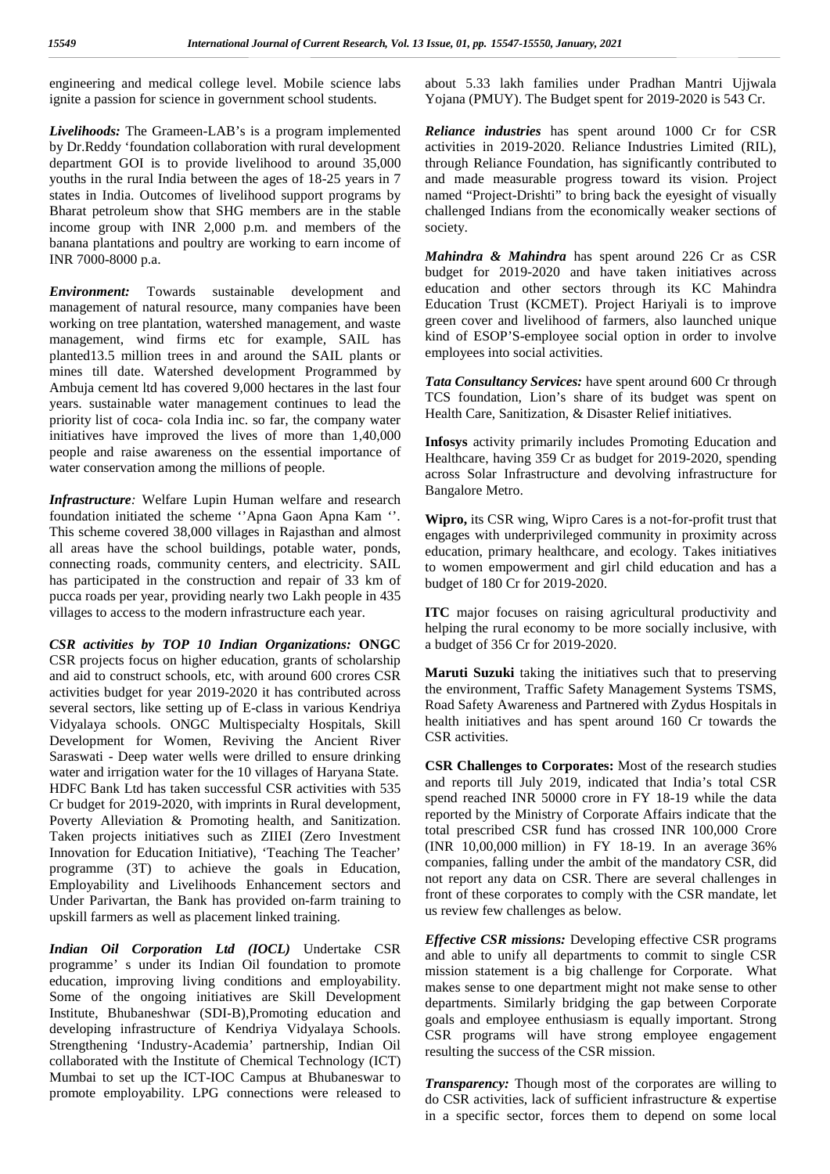engineering and medical college level. Mobile science labs ignite a passion for science in government school students.

*Livelihoods:* The Grameen-LAB's is a program implemented by Dr.Reddy 'foundation collaboration with rural development department GOI is to provide livelihood to around 35,000 youths in the rural India between the ages of 18-25 years in 7 states in India. Outcomes of livelihood support programs by Bharat petroleum show that SHG members are in the stable income group with INR 2,000 p.m. and members of the banana plantations and poultry are working to earn income of INR 7000-8000 p.a.

*Environment:* Towards sustainable development and management of natural resource, many companies have been working on tree plantation, watershed management, and waste management, wind firms etc for example, SAIL has planted13.5 million trees in and around the SAIL plants or mines till date. Watershed development Programmed by Ambuja cement ltd has covered 9,000 hectares in the last four years. sustainable water management continues to lead the priority list of coca- cola India inc. so far, the company water initiatives have improved the lives of more than 1,40,000 people and raise awareness on the essential importance of water conservation among the millions of people.

*Infrastructure:* Welfare Lupin Human welfare and research foundation initiated the scheme ''Apna Gaon Apna Kam ''. This scheme covered 38,000 villages in Rajasthan and almost all areas have the school buildings, potable water, ponds, connecting roads, community centers, and electricity. SAIL has participated in the construction and repair of 33 km of pucca roads per year, providing nearly two Lakh people in 435 villages to access to the modern infrastructure each year.

*CSR activities by TOP 10 Indian Organizations:* **ONGC** CSR projects focus on higher education, grants of scholarship and aid to construct schools, etc, with around 600 crores CSR activities budget for year 2019-2020 it has contributed across several sectors, like setting up of E-class in various Kendriya Vidyalaya schools. ONGC Multispecialty Hospitals, Skill Development for Women, Reviving the Ancient River Saraswati - Deep water wells were drilled to ensure drinking water and irrigation water for the 10 villages of Haryana State. HDFC Bank Ltd has taken successful CSR activities with 535 Cr budget for 2019-2020, with imprints in Rural development, Poverty Alleviation & Promoting health, and Sanitization. Taken projects initiatives such as ZIIEI (Zero Investment Innovation for Education Initiative), 'Teaching The Teacher' programme (3T) to achieve the goals in Education, Employability and Livelihoods Enhancement sectors and Under Parivartan, the Bank has provided on-farm training to upskill farmers as well as placement linked training.

*Indian Oil Corporation Ltd (IOCL)* Undertake CSR programme' s under its Indian Oil foundation to promote education, improving living conditions and employability. Some of the ongoing initiatives are Skill Development Institute, Bhubaneshwar (SDI-B),Promoting education and developing infrastructure of Kendriya Vidyalaya Schools. Strengthening 'Industry-Academia' partnership, Indian Oil collaborated with the Institute of Chemical Technology (ICT) Mumbai to set up the ICT-IOC Campus at Bhubaneswar to promote employability. LPG connections were released to

about 5.33 lakh families under Pradhan Mantri Ujjwala Yojana (PMUY). The Budget spent for 2019-2020 is 543 Cr.

*Reliance industries* has spent around 1000 Cr for CSR activities in 2019-2020. Reliance Industries Limited (RIL), through Reliance Foundation, has significantly contributed to and made measurable progress toward its vision. Project named "Project-Drishti" to bring back the eyesight of visually challenged Indians from the economically weaker sections of society.

*Mahindra & Mahindra* has spent around 226 Cr as CSR budget for 2019-2020 and have taken initiatives across education and other sectors through its KC Mahindra Education Trust (KCMET). Project Hariyali is to improve green cover and livelihood of farmers, also launched unique kind of ESOP'S-employee social option in order to involve employees into social activities.

*Tata Consultancy Services:* have spent around 600 Cr through TCS foundation, Lion's share of its budget was spent on Health Care, Sanitization, & Disaster Relief initiatives.

**Infosys** activity primarily includes Promoting Education and Healthcare, having 359 Cr as budget for 2019-2020, spending across Solar Infrastructure and devolving infrastructure for Bangalore Metro.

**Wipro,** its CSR wing, Wipro Cares is a not-for-profit trust that engages with underprivileged community in proximity across education, primary healthcare, and ecology. Takes initiatives to women empowerment and girl child education and has a budget of 180 Cr for 2019-2020.

**ITC** major focuses on raising agricultural productivity and helping the rural economy to be more socially inclusive, with a budget of 356 Cr for 2019-2020.

**Maruti Suzuki** taking the initiatives such that to preserving the environment, Traffic Safety Management Systems TSMS, Road Safety Awareness and Partnered with Zydus Hospitals in health initiatives and has spent around 160 Cr towards the CSR activities.

**CSR Challenges to Corporates:** Most of the research studies and reports till July 2019, indicated that India's total CSR spend reached INR 50000 crore in FY 18-19 while the data reported by the Ministry of Corporate Affairs indicate that the total prescribed CSR fund has crossed INR 100,000 Crore (INR 10,00,000 million) in FY 18-19. In an average 36% companies, falling under the ambit of the mandatory CSR, did not report any data on CSR. There are several challenges in front of these corporates to comply with the CSR mandate, let us review few challenges as below.

*Effective CSR missions:* Developing effective CSR programs and able to unify all departments to commit to single CSR mission statement is a big challenge for Corporate. What makes sense to one department might not make sense to other departments. Similarly bridging the gap between Corporate goals and employee enthusiasm is equally important. Strong CSR programs will have strong employee engagement resulting the success of the CSR mission.

*Transparency:* Though most of the corporates are willing to do CSR activities, lack of sufficient infrastructure & expertise in a specific sector, forces them to depend on some local